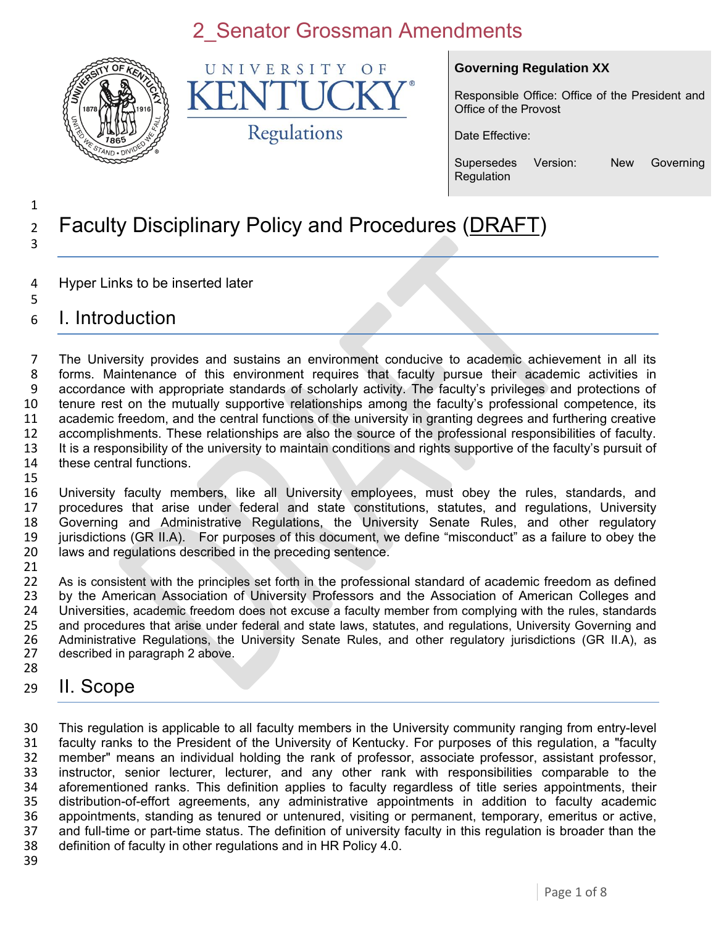

UNIVERSITY  $\Omega$  F K Regulations

#### **Governing Regulation XX**

Responsible Office: Office of the President and Office of the Provost

Date Effective:

Supersedes Version: New Governing Regulation

#### 1 <sup>2</sup> Faculty Disciplinary Policy and Procedures (DRAFT) 3

- 4 Hyper Links to be inserted later
- 5 6 I. Introduction

 The University provides and sustains an environment conducive to academic achievement in all its forms. Maintenance of this environment requires that faculty pursue their academic activities in accordance with appropriate standards of scholarly activity. The faculty's privileges and protections of tenure rest on the mutually supportive relationships among the faculty's professional competence, its academic freedom, and the central functions of the university in granting degrees and furthering creative accomplishments. These relationships are also the source of the professional responsibilities of faculty. It is a responsibility of the university to maintain conditions and rights supportive of the faculty's pursuit of these central functions. 15

 University faculty members, like all University employees, must obey the rules, standards, and procedures that arise under federal and state constitutions, statutes, and regulations, University Governing and Administrative Regulations, the University Senate Rules, and other regulatory jurisdictions (GR II.A). For purposes of this document, we define "misconduct" as a failure to obey the laws and regulations described in the preceding sentence.

21<br>22 As is consistent with the principles set forth in the professional standard of academic freedom as defined 23 by the American Association of University Professors and the Association of American Colleges and 24 Universities, academic freedom does not excuse a faculty member from complying with the rules, standards<br>25 and procedures that arise under federal and state laws, statutes, and regulations, University Governing and 25 and procedures that arise under federal and state laws, statutes, and regulations, University Governing and<br>26 Administrative Regulations, the University Senate Rules, and other regulatory jurisdictions (GR IIA), as 26 Administrative Regulations, the University Senate Rules, and other regulatory jurisdictions (GR II.A), as 27 described in paragraph 2 above. described in paragraph 2 above. 28

#### 29 II. Scope

 This regulation is applicable to all faculty members in the University community ranging from entry-level faculty ranks to the President of the University of Kentucky. For purposes of this regulation, a "faculty member" means an individual holding the rank of professor, associate professor, assistant professor, instructor, senior lecturer, lecturer, and any other rank with responsibilities comparable to the aforementioned ranks. This definition applies to faculty regardless of title series appointments, their 35 distribution-of-effort agreements, any administrative appointments in addition to faculty academic<br>36 appointments, standing as tenured or untenured, visiting or permanent, temporary, emeritus or active, 36 appointments, standing as tenured or untenured, visiting or permanent, temporary, emeritus or active, 37 and full-time or part-time status. The definition of university faculty in this regulation is broader than the and full-time or part-time status. The definition of university faculty in this regulation is broader than the definition of faculty in other regulations and in HR Policy 4.0.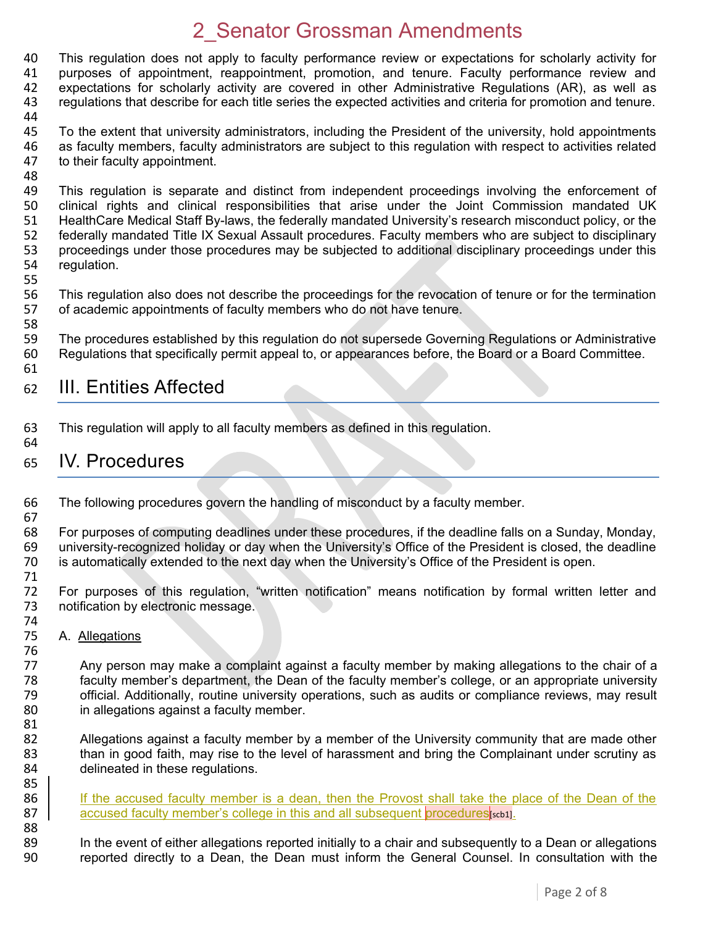This regulation does not apply to faculty performance review or expectations for scholarly activity for purposes of appointment, reappointment, promotion, and tenure. Faculty performance review and expectations for scholarly activity are covered in other Administrative Regulations (AR), as well as regulations that describe for each title series the expected activities and criteria for promotion and tenure.

45 To the extent that university administrators, including the President of the university, hold appointments 46 as faculty members, faculty administrators are subject to this regulation with respect to activities related 47 to their faculty appointment. to their faculty appointment.

48<br>49 This regulation is separate and distinct from independent proceedings involving the enforcement of 50 clinical rights and clinical responsibilities that arise under the Joint Commission mandated UK 51 HealthCare Medical Staff By-laws, the federally mandated University's research misconduct policy, or the 52 federally mandated Title IX Sexual Assault procedures. Faculty members who are subject to disciplinary 53 proceedings under those procedures may be subjected to additional disciplinary proceedings under this 54 requidation. regulation.

55

58

44

56 This regulation also does not describe the proceedings for the revocation of tenure or for the termination<br>57 of academic appointments of faculty members who do not have tenure. of academic appointments of faculty members who do not have tenure.

59 The procedures established by this regulation do not supersede Governing Regulations or Administrative 60 Regulations that specifically permit appeal to, or appearances before, the Board or a Board Committee. 61

### 62 III. Entities Affected

63 This regulation will apply to all faculty members as defined in this regulation.

#### 64

67

76<br>77

81<br>82

85

65 IV. Procedures

66 The following procedures govern the handling of misconduct by a faculty member.

68 For purposes of computing deadlines under these procedures, if the deadline falls on a Sunday, Monday, 69 university-recognized holiday or day when the University's Office of the President is closed, the deadline university-recognized holiday or day when the University's Office of the President is closed, the deadline 70 is automatically extended to the next day when the University's Office of the President is open.

71 72 For purposes of this regulation, "written notification" means notification by formal written letter and 73 notification by electronic message. notification by electronic message.

74<br>75 A. Allegations

Any person may make a complaint against a faculty member by making allegations to the chair of a faculty member's department, the Dean of the faculty member's college, or an appropriate university official. Additionally, routine university operations, such as audits or compliance reviews, may result in allegations against a faculty member.

82 Allegations against a faculty member by a member of the University community that are made other<br>83 than in good faith, may rise to the level of harassment and bring the Complainant under scrutiny as than in good faith, may rise to the level of harassment and bring the Complainant under scrutiny as 84 delineated in these regulations.

86 If the accused faculty member is a dean, then the Provost shall take the place of the Dean of the 87 **accused faculty member's college in this and all subsequent procedures** [scb1].

88 89 In the event of either allegations reported initially to a chair and subsequently to a Dean or allegations<br>80 Teported directly to a Dean, the Dean must inform the General Counsel. In consultation with the reported directly to a Dean, the Dean must inform the General Counsel. In consultation with the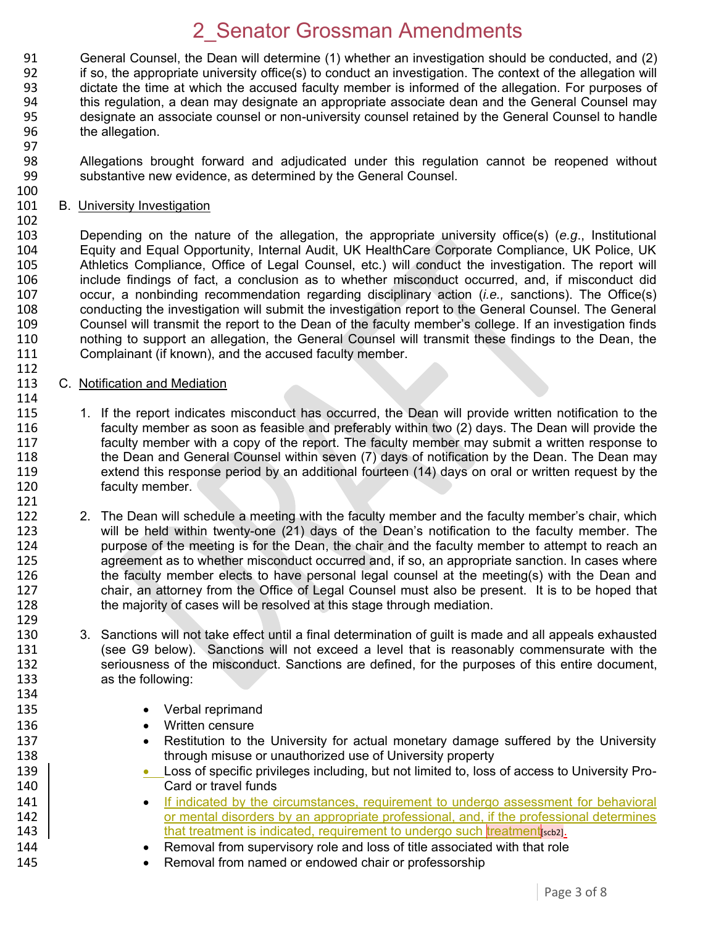91 General Counsel, the Dean will determine (1) whether an investigation should be conducted, and (2)<br>92 if so, the appropriate university office(s) to conduct an investigation. The context of the allegation will 92 if so, the appropriate university office(s) to conduct an investigation. The context of the allegation will<br>93 dictate the time at which the accused faculty member is informed of the allegation. For purposes of dictate the time at which the accused faculty member is informed of the allegation. For purposes of 94 this regulation, a dean may designate an appropriate associate dean and the General Counsel may 95 designate an associate counsel or non-university counsel retained by the General Counsel to handle 96 the allegation.

97<br>98 98 Allegations brought forward and adjudicated under this regulation cannot be reopened without 99 substantive new evidence, as determined by the General Counsel. substantive new evidence, as determined by the General Counsel.

#### 101 B. University Investigation

100

102

112

103 Depending on the nature of the allegation, the appropriate university office(s) (*e.g*., Institutional 104 Equity and Equal Opportunity, Internal Audit, UK HealthCare Corporate Compliance, UK Police, UK<br>105 Athletics Compliance, Office of Legal Counsel, etc.) will conduct the investigation. The report will 105 Athletics Compliance, Office of Legal Counsel, etc.) will conduct the investigation. The report will<br>106 include findings of fact, a conclusion as to whether misconduct occurred, and, if misconduct did include findings of fact, a conclusion as to whether misconduct occurred, and, if misconduct did 107 occur, a nonbinding recommendation regarding disciplinary action (*i.e.,* sanctions). The Office(s) conducting the investigation will submit the investigation report to the General Counsel. The General 109 Counsel will transmit the report to the Dean of the faculty member's college. If an investigation finds 110 nothing to support an allegation, the General Counsel will transmit these findings to the Dean, the 111 Complainant (if known), and the accused faculty member.

#### 113 C. Notification and Mediation

- 114<br>115 1. If the report indicates misconduct has occurred, the Dean will provide written notification to the 116 faculty member as soon as feasible and preferably within two (2) days. The Dean will provide the 117 faculty member with a copy of the report. The faculty member may submit a written response to 118 the Dean and General Counsel within seven (7) days of notification by the Dean. The Dean may 119 extend this response period by an additional fourteen (14) days on oral or written request by the 120 faculty member.
- 121<br>122 2. The Dean will schedule a meeting with the faculty member and the faculty member's chair, which 123 will be held within twenty-one (21) days of the Dean's notification to the faculty member. The 124 purpose of the meeting is for the Dean, the chair and the faculty member to attempt to reach an 125 agreement as to whether misconduct occurred and, if so, an appropriate sanction. In cases where 126 the faculty member elects to have personal legal counsel at the meeting(s) with the Dean and 127 chair, an attorney from the Office of Legal Counsel must also be present. It is to be hoped that 128 the majority of cases will be resolved at this stage through mediation.
- 129<br>130 130 3. Sanctions will not take effect until a final determination of guilt is made and all appeals exhausted<br>131 (see G9 below). Sanctions will not exceed a level that is reasonably commensurate with the (see G9 below). Sanctions will not exceed a level that is reasonably commensurate with the 132 seriousness of the misconduct. Sanctions are defined, for the purposes of this entire document, 133 as the following: 134
- 135 **•** Verbal reprimand
- 136 **Written censure**
- 137 **•** Restitution to the University for actual monetary damage suffered by the University 138 through misuse or unauthorized use of University property
- 139 **Loss of specific privileges including, but not limited to, loss of access to University Pro-**140 | Card or travel funds
- 141 **IF indicated by the circumstances, requirement to undergo assessment for behavioral or mental disorders by an appropriate professional, and, if the professional determines** or mental disorders by an appropriate professional, and, if the professional determines 143 **that treatment is indicated, requirement to undergo such treatment** scb<sub>2</sub>.
- 144 **••** Removal from supervisory role and loss of title associated with that role
- 145 **Removal from named or endowed chair or professorship**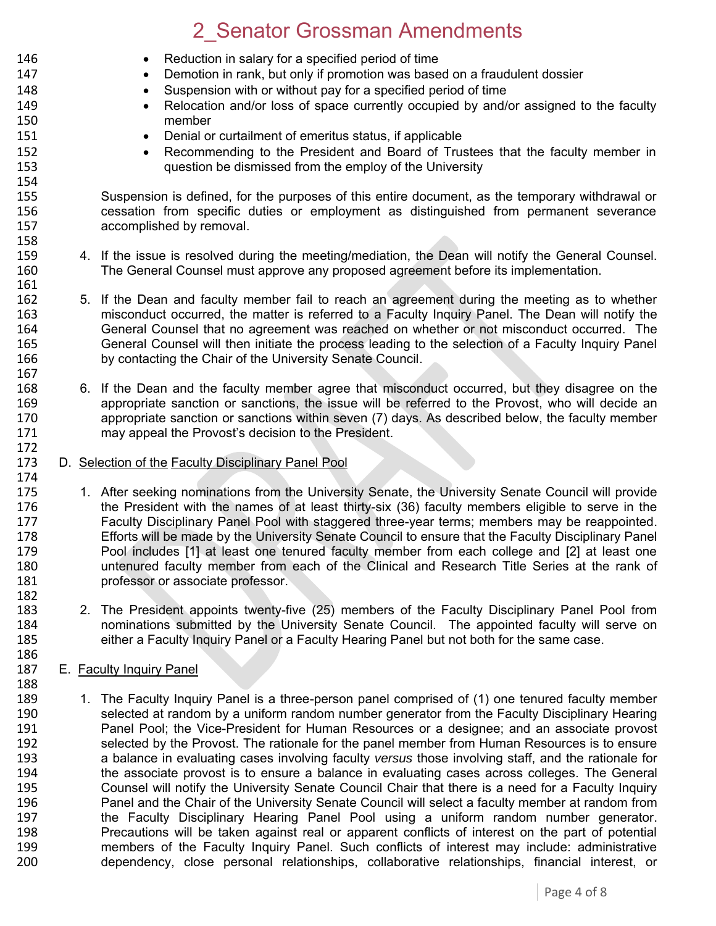146 **Reduction in salary for a specified period of time** 

147 **•** Demotion in rank, but only if promotion was based on a fraudulent dossier 148 • Suspension with or without pay for a specified period of time 149 **•** Relocation and/or loss of space currently occupied by and/or assigned to the faculty 150 member 151 Denial or curtailment of emeritus status, if applicable 152 **Recommending to the President and Board of Trustees that the faculty member in**<br>153 **austion be dismissed from the employ of the University** question be dismissed from the employ of the University 154<br>155 Suspension is defined, for the purposes of this entire document, as the temporary withdrawal or 156 cessation from specific duties or employment as distinguished from permanent severance 157 accomplished by removal. 158 159 4. If the issue is resolved during the meeting/mediation, the Dean will notify the General Counsel.<br>160 The General Counsel must approve any proposed agreement before its implementation. The General Counsel must approve any proposed agreement before its implementation. 161 162 5. If the Dean and faculty member fail to reach an agreement during the meeting as to whether 163 misconduct occurred, the matter is referred to a Faculty Inquiry Panel. The Dean will notify the 164 General Counsel that no agreement was reached on whether or not misconduct occurred. The 165 General Counsel will then initiate the process leading to the selection of a Faculty Inquiry Panel 166 by contacting the Chair of the University Senate Council. 167<br>168 6. If the Dean and the faculty member agree that misconduct occurred, but they disagree on the 169 appropriate sanction or sanctions, the issue will be referred to the Provost, who will decide an 170 appropriate sanction or sanctions within seven (7) days. As described below, the faculty member 170 appropriate sanction or sanctions within seven (7) days. As described below, the faculty member<br>171 may appeal the Provost's decision to the President. may appeal the Provost's decision to the President. 172 173 D. Selection of the Faculty Disciplinary Panel Pool 174 175 1. After seeking nominations from the University Senate, the University Senate Council will provide 176 the President with the names of at least thirty-six (36) faculty members eligible to serve in the<br>177 **Eaculty Disciplinary Panel Pool with staggered three-vear terms: members may be reappointed.** Faculty Disciplinary Panel Pool with staggered three-year terms; members may be reappointed. 178 Efforts will be made by the University Senate Council to ensure that the Faculty Disciplinary Panel 179 Pool includes [1] at least one tenured faculty member from each college and [2] at least one 180 untenured faculty member from each of the Clinical and Research Title Series at the rank of 181 professor or associate professor. 182 183 2. The President appoints twenty-five (25) members of the Faculty Disciplinary Panel Pool from<br>184 **184** 184 nominations submitted by the University Senate Council. The appointed faculty will serve on 184 nominations submitted by the University Senate Council. The appointed faculty will serve on 185<br>185 either a Faculty Inquiry Panel or a Faculty Hearing Panel but not both for the same case. either a Faculty Inquiry Panel or a Faculty Hearing Panel but not both for the same case. 186 187 E. Faculty Inquiry Panel 188 189 1. The Faculty Inquiry Panel is a three-person panel comprised of (1) one tenured faculty member<br>190 selected at random by a uniform random number generator from the Faculty Disciplinary Hearing 190 selected at random by a uniform random number generator from the Faculty Disciplinary Hearing<br>191 **191** Panel Pool: the Vice-President for Human Resources or a designee: and an associate provost 191 Panel Pool; the Vice-President for Human Resources or a designee; and an associate provost 192 selected by the Provost. The rationale for the panel member from Human Resources is to ensure<br>193 a balance in evaluating cases involving faculty versus those involving staff, and the rationale for

193 a balance in evaluating cases involving faculty *versus* those involving staff, and the rationale for

Precautions will be taken against real or apparent conflicts of interest on the part of potential

dependency, close personal relationships, collaborative relationships, financial interest, or

 the associate provost is to ensure a balance in evaluating cases across colleges. The General Counsel will notify the University Senate Council Chair that there is a need for a Faculty Inquiry 196 Panel and the Chair of the University Senate Council will select a faculty member at random from<br>197 the Faculty Disciplinary Hearing Panel Pool using a uniform random number generator. the Faculty Disciplinary Hearing Panel Pool using a uniform random number generator.

199 members of the Faculty Inquiry Panel. Such conflicts of interest may include: administrative<br>100 dependency, close personal relationships, collaborative relationships, financial interest, or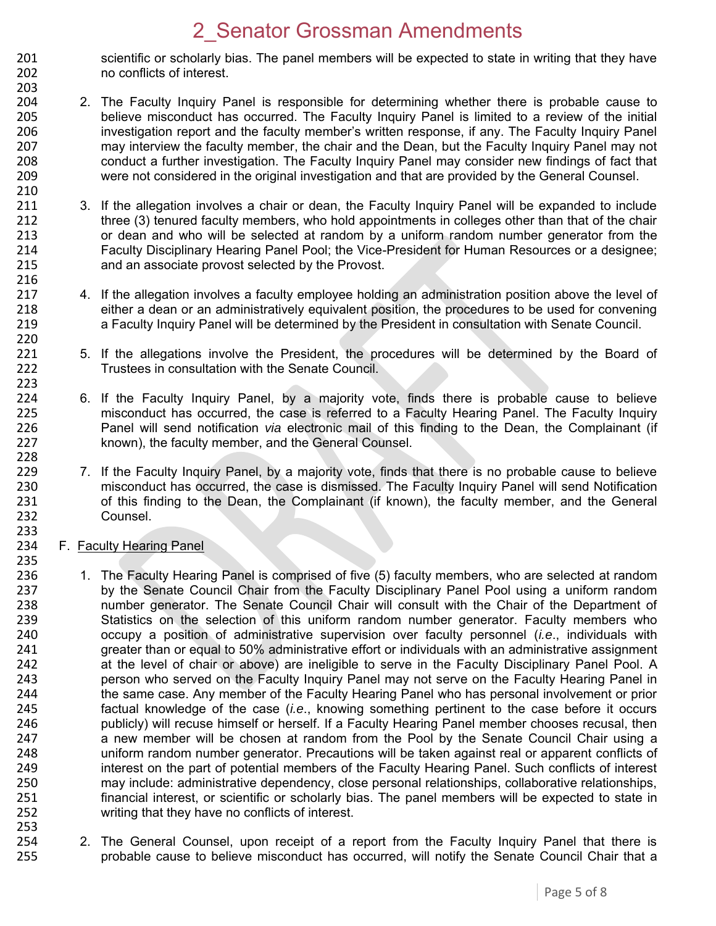- 201 scientific or scholarly bias. The panel members will be expected to state in writing that they have<br>202 on conflicts of interest. no conflicts of interest.
- 204 2. The Faculty Inquiry Panel is responsible for determining whether there is probable cause to 205 believe misconduct has occurred. The Faculty Inquiry Panel is limited to a review of the initial 206 investigation report and the faculty member's written response, if any. The Faculty Inquiry Panel 207 may interview the faculty member, the chair and the Dean, but the Faculty Inquiry Panel may not<br>208 conduct a further investigation. The Faculty Inquiry Panel may consider new findings of fact that 208 conduct a further investigation. The Faculty Inquiry Panel may consider new findings of fact that<br>209 were not considered in the original investigation and that are provided by the General Counsel. were not considered in the original investigation and that are provided by the General Counsel.
- 211 3. If the allegation involves a chair or dean, the Faculty Inquiry Panel will be expanded to include 212 three (3) tenured faculty members, who hold appointments in colleges other than that of the chair 213 or dean and who will be selected at random by a uniform random number generator from the 214 Faculty Disciplinary Hearing Panel Pool; the Vice-President for Human Resources or a designee; 215 and an associate provost selected by the Provost. 216
- 217 4. If the allegation involves a faculty employee holding an administration position above the level of 218 either a dean or an administratively equivalent position, the procedures to be used for convening either a dean or an administratively equivalent position, the procedures to be used for convening 219 a Faculty Inquiry Panel will be determined by the President in consultation with Senate Council.
- 221 5. If the allegations involve the President, the procedures will be determined by the Board of 222 Trustees in consultation with the Senate Council.
- 224 6. If the Faculty Inquiry Panel, by a majority vote, finds there is probable cause to believe<br>225 misconduct has occurred, the case is referred to a Faculty Hearing Panel. The Faculty Inquiry 225 misconduct has occurred, the case is referred to a Faculty Hearing Panel. The Faculty Inquiry<br>226 Panel will send notification *via* electronic mail of this finding to the Dean, the Complainant (if 226 Panel will send notification *via* electronic mail of this finding to the Dean, the Complainant (if 227 known), the faculty member, and the General Counsel.
- 229 7. If the Faculty Inquiry Panel, by a majority vote, finds that there is no probable cause to believe<br>230 misconduct has occurred, the case is dismissed. The Faculty Inquiry Panel will send Notification 230 misconduct has occurred, the case is dismissed. The Faculty Inquiry Panel will send Notification<br>231 of this finding to the Dean, the Complainant (if known), the faculty member, and the General 231 of this finding to the Dean, the Complainant (if known), the faculty member, and the General 232 Counsel.
- 234 F. Faculty Hearing Panel

203

210

220

223<br>224

228

233

- 236 1. The Faculty Hearing Panel is comprised of five (5) faculty members, who are selected at random 237 by the Senate Council Chair from the Faculty Disciplinary Panel Pool using a uniform random<br>238 humber generator. The Senate Council Chair will consult with the Chair of the Department of 238 number generator. The Senate Council Chair will consult with the Chair of the Department of 239 Statistics on the selection of this uniform random number generator. Faculty members who 239 Statistics on the selection of this uniform random number generator. Faculty members who<br>240 occupy a position of administrative supervision over faculty personnel (*i.e.*, individuals with 240 occupy a position of administrative supervision over faculty personnel (*i.e*., individuals with greater than or equal to 50% administrative effort or individuals with an administrative assignment 242 at the level of chair or above) are ineligible to serve in the Faculty Disciplinary Panel Pool. A 243 person who served on the Faculty Inquiry Panel may not serve on the Faculty Hearing Panel in<br>244 the same case. Any member of the Faculty Hearing Panel who has personal involvement or prior 244 the same case. Any member of the Faculty Hearing Panel who has personal involvement or prior<br>245 factual knowledge of the case (*i.e.*, knowing something pertinent to the case before it occurs factual knowledge of the case *(i.e.*, knowing something pertinent to the case before it occurs 246 publicly) will recuse himself or herself. If a Faculty Hearing Panel member chooses recusal, then 247 a new member will be chosen at random from the Pool by the Senate Council Chair using a 248 uniform random number generator. Precautions will be taken against real or apparent conflicts of 249 interest on the part of potential members of the Faculty Hearing Panel. Such conflicts of interest 250 may include: administrative dependency, close personal relationships, collaborative relationships, 251 financial interest, or scientific or scholarly bias. The panel members will be expected to state in 252 writing that they have no conflicts of interest.
- 253<br>254 254 2. The General Counsel, upon receipt of a report from the Faculty Inquiry Panel that there is<br>255 http://www.brobable.cause.to.believe.misconduct.has.occurred.will.notify.the.Senate.Council Chair.that.a probable cause to believe misconduct has occurred, will notify the Senate Council Chair that a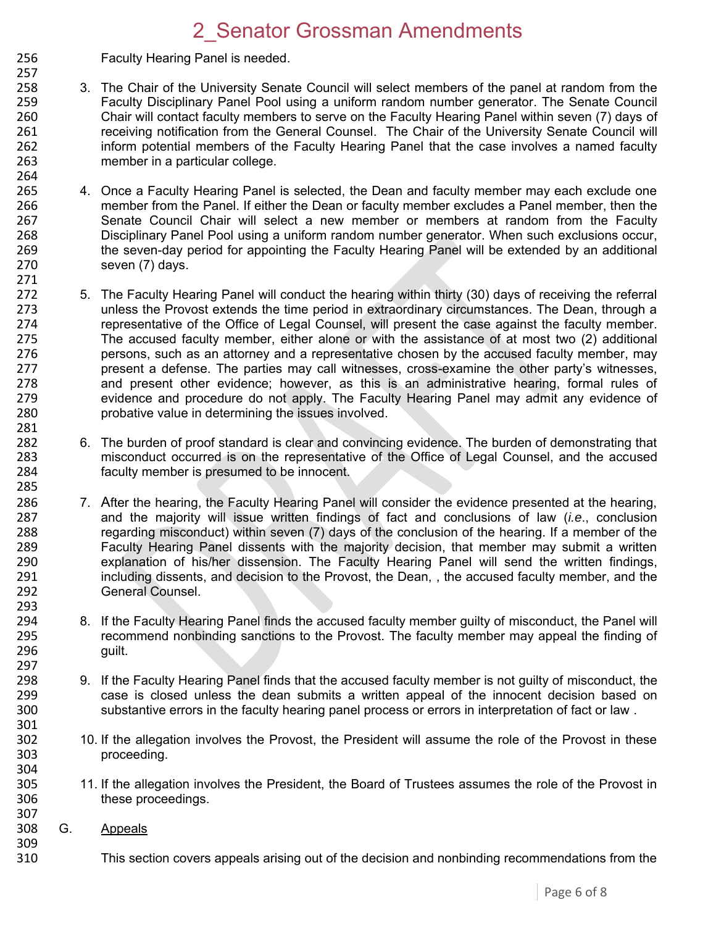- 256 Faculty Hearing Panel is needed.
- 257 258 3. The Chair of the University Senate Council will select members of the panel at random from the 259 Faculty Disciplinary Panel Pool using a uniform random number generator. The Senate Council 260 Chair will contact faculty members to serve on the Faculty Hearing Panel within seven (7) days of 261 receiving notification from the General Counsel. The Chair of the University Senate Council will 262 inform potential members of the Faculty Hearing Panel that the case involves a named faculty<br>263 member in a particular college. member in a particular college.
- 264<br>265 4. Once a Faculty Hearing Panel is selected, the Dean and faculty member may each exclude one 266 member from the Panel. If either the Dean or faculty member excludes a Panel member, then the 267 Senate Council Chair will select a new member or members at random from the Faculty 268 Disciplinary Panel Pool using a uniform random number generator. When such exclusions occur, 269 the seven-day period for appointing the Faculty Hearing Panel will be extended by an additional 270 seven (7) days. 271
- 272 5. The Faculty Hearing Panel will conduct the hearing within thirty (30) days of receiving the referral<br>273 unless the Provost extends the time period in extraordinary circumstances. The Dean, through a 273 unless the Provost extends the time period in extraordinary circumstances. The Dean, through a 274 representative of the Office of Legal Counsel, will present the case against the faculty member. 275 The accused faculty member, either alone or with the assistance of at most two (2) additional 276 persons, such as an attorney and a representative chosen by the accused faculty member, may<br>277 present a defense. The parties may call witnesses, cross-examine the other party's witnesses. 277 present a defense. The parties may call witnesses, cross-examine the other party's witnesses, 278 and present other evidence; however, as this is an administrative hearing, formal rules of 279 evidence and procedure do not apply. The Faculty Hearing Panel may admit any evidence of 279 evidence and procedure do not apply. The Faculty Hearing Panel may admit any evidence of 280 probative value in determining the issues involved. 281
- 282 6. The burden of proof standard is clear and convincing evidence. The burden of demonstrating that 283 misconduct occurred is on the representative of the Office of Legal Counsel, and the accused<br>284 faculty member is presumed to be innocent faculty member is presumed to be innocent.
- 286 7. After the hearing, the Faculty Hearing Panel will consider the evidence presented at the hearing,<br>287 and the maiority will issue written findings of fact and conclusions of law *(i.e.*, conclusion 287 and the majority will issue written findings of fact and conclusions of law (*i.e*., conclusion 288 regarding misconduct) within seven (7) days of the conclusion of the hearing. If a member of the 289 regard of the hearing. Faculty Hearing Panel dissents with the maiority decision, that member may submit a written Faculty Hearing Panel dissents with the majority decision, that member may submit a written 290 explanation of his/her dissension. The Faculty Hearing Panel will send the written findings,<br>291 including dissents, and decision to the Provost, the Dean, the accused faculty member, and the 291 including dissents, and decision to the Provost, the Dean, , the accused faculty member, and the 292 General Counsel.
- 294 8. If the Faculty Hearing Panel finds the accused faculty member guilty of misconduct, the Panel will 295 recommend nonbinding sanctions to the Provost. The faculty member may appeal the finding of 296 quilt.
- 298 9. If the Faculty Hearing Panel finds that the accused faculty member is not guilty of misconduct, the 299 case is closed unless the dean submits a written appeal of the innocent decision based on case is closed unless the dean submits a written appeal of the innocent decision based on 300 substantive errors in the faculty hearing panel process or errors in interpretation of fact or law . 301
- 302 10. If the allegation involves the Provost, the President will assume the role of the Provost in these<br>303 or proceeding. proceeding.
- 305 11. If the allegation involves the President, the Board of Trustees assumes the role of the Provost in<br>306 these proceedings. these proceedings.
- 308 G. Appeals

285

293

297

304<br>305

307

309

310 This section covers appeals arising out of the decision and nonbinding recommendations from the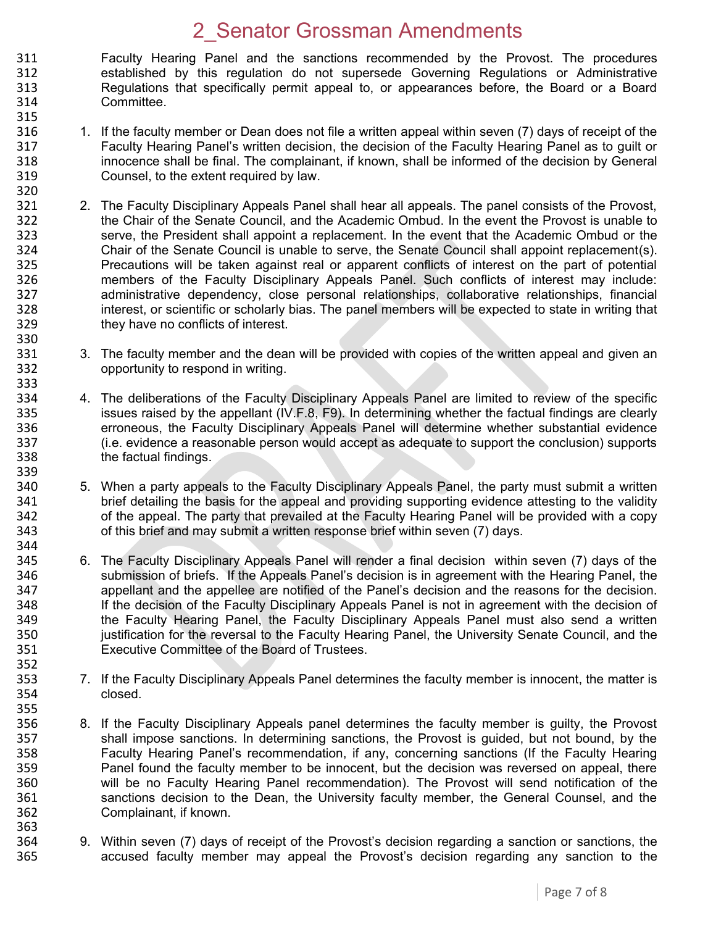311 Faculty Hearing Panel and the sanctions recommended by the Provost. The procedures<br>312 established by this regulation do not supersede Governing Regulations or Administrative 312 established by this regulation do not supersede Governing Regulations or Administrative 313 Regulations that specifically permit appeal to, or appearances before, the Board or a Board 314 Committee. 315

316 1. If the faculty member or Dean does not file a written appeal within seven (7) days of receipt of the 317 Faculty Hearing Panel's written decision, the decision of the Faculty Hearing Panel as to guilt or<br>318 innocence shall be final. The complainant, if known, shall be informed of the decision by General 318 innocence shall be final. The complainant, if known, shall be informed of the decision by General<br>319 Counsel, to the extent required by law. Counsel, to the extent required by law.

320

330

344

352

- 321 2. The Faculty Disciplinary Appeals Panel shall hear all appeals. The panel consists of the Provost, 322 the Chair of the Senate Council, and the Academic Ombud. In the event the Provost is unable to 323 serve, the President shall appoint a replacement. In the event that the Academic Ombud or the 324 Chair of the Senate Council is unable to serve, the Senate Council shall appoint replacement(s).<br>325 Precautions will be taken against real or apparent conflicts of interest on the part of potential 325 Precautions will be taken against real or apparent conflicts of interest on the part of potential<br>326 members of the Faculty Disciplinary Appeals Panel. Such conflicts of interest may include: members of the Faculty Disciplinary Appeals Panel. Such conflicts of interest may include: 327 administrative dependency, close personal relationships, collaborative relationships, financial<br>328 interest, or scientific or scholarly bias. The panel members will be expected to state in writing that interest, or scientific or scholarly bias. The panel members will be expected to state in writing that 329 they have no conflicts of interest.
- 331 3. The faculty member and the dean will be provided with copies of the written appeal and given an 332 opportunity to respond in writing.
- 333<br>334 334 4. The deliberations of the Faculty Disciplinary Appeals Panel are limited to review of the specific<br>335 setting issues raised by the appellant (IV.F.8, F9). In determining whether the factual findings are clearly 335 issues raised by the appellant (IV.F.8, F9). In determining whether the factual findings are clearly<br>336 feromeous, the Faculty Disciplinary Appeals Panel will determine whether substantial evidence 336 erroneous, the Faculty Disciplinary Appeals Panel will determine whether substantial evidence 337 (i.e. evidence a reasonable person would accept as adequate to support the conclusion) supports 338 the factual findings.
- 339<br>340 340 5. When a party appeals to the Faculty Disciplinary Appeals Panel, the party must submit a written<br>341 brief detailing the basis for the appeal and providing supporting evidence attesting to the validity 341 brief detailing the basis for the appeal and providing supporting evidence attesting to the validity<br>342 of the appeal. The party that prevailed at the Faculty Hearing Panel will be provided with a copy 342 of the appeal. The party that prevailed at the Faculty Hearing Panel will be provided with a copy 343 of this brief and may submit a written response brief within seven (7) days.
- 345 6. The Faculty Disciplinary Appeals Panel will render a final decision within seven (7) days of the 346 submission of briefs. If the Appeals Panel's decision is in agreement with the Hearing Panel, the 347 appellant and the appellee are notified of the Panel's decision and the reasons for the decision. 348 If the decision of the Faculty Disciplinary Appeals Panel is not in agreement with the decision of 349<br>349 The Faculty Hearing Panel, the Faculty Disciplinary Appeals Panel must also send a written 349 the Faculty Hearing Panel, the Faculty Disciplinary Appeals Panel must also send a written<br>350 iustification for the reversal to the Faculty Hearing Panel, the University Senate Council, and the 350 justification for the reversal to the Faculty Hearing Panel, the University Senate Council, and the 351 Executive Committee of the Board of Trustees.
- 353 7. If the Faculty Disciplinary Appeals Panel determines the faculty member is innocent, the matter is 354 closed.
- 356 8. If the Faculty Disciplinary Appeals panel determines the faculty member is guilty, the Provost 357 shall impose sanctions. In determining sanctions, the Provost is guided, but not bound, by the 358 states Faculty Hearing 358 Faculty Hearing Panel's recommendation, if any, concerning sanctions (If the Faculty Hearing 359 Panel found the faculty member to be innocent, but the decision was reversed on appeal, there 360 will be no Faculty Hearing Panel recommendation). The Provost will send notification of the 361 sanctions decision to the Dean, the University faculty member, the General Counsel, and the 362 Complainant, if known.
- 363<br>364 364 9. Within seven (7) days of receipt of the Provost's decision regarding a sanction or sanctions, the 365 example accused faculty member may appeal the Provost's decision regarding any sanction to the accused faculty member may appeal the Provost's decision regarding any sanction to the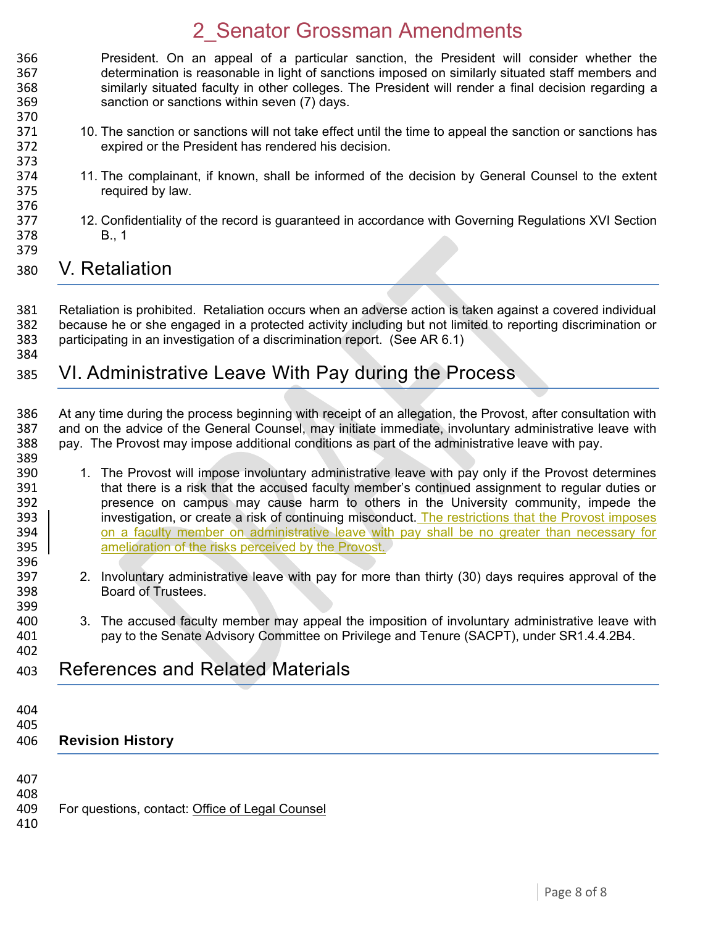- 366 President. On an appeal of a particular sanction, the President will consider whether the 367 determination is reasonable in light of sanctions imposed on similarly situated staff members and similarly situated faculty in other colleges. The President will render a final decision regarding a sanction or sanctions within seven (7) days.
- 371 10. The sanction or sanctions will not take effect until the time to appeal the sanction or sanctions has expired or the President has rendered his decision.
- 11. The complainant, if known, shall be informed of the decision by General Counsel to the extent required by law.
- 12. Confidentiality of the record is guaranteed in accordance with Governing Regulations XVI Section B., 1
- 

373<br>374

### V. Retaliation

 Retaliation is prohibited. Retaliation occurs when an adverse action is taken against a covered individual because he or she engaged in a protected activity including but not limited to reporting discrimination or participating in an investigation of a discrimination report. (See AR 6.1)

### VI. Administrative Leave With Pay during the Process

 At any time during the process beginning with receipt of an allegation, the Provost, after consultation with 387 and on the advice of the General Counsel, may initiate immediate, involuntary administrative leave with 388 pay. pay. The Provost may impose additional conditions as part of the administrative leave with pay. 

- 1. The Provost will impose involuntary administrative leave with pay only if the Provost determines 391 that there is a risk that the accused faculty member's continued assignment to regular duties or<br>392 **being the control of the state of the state** of the the University community, impede the 392 presence on campus may cause harm to others in the University community, impede the 393 | presence or create a risk of continuing misconduct. The restrictions that the Provost imposes investigation, or create a risk of continuing misconduct. The restrictions that the Provost imposes 394 on a faculty member on administrative leave with pay shall be no greater than necessary for 395 amelioration of the risks perceived by the Provost.
- 2. Involuntary administrative leave with pay for more than thirty (30) days requires approval of the Board of Trustees.
- 400 3. The accused faculty member may appeal the imposition of involuntary administrative leave with 401 spay to the Senate Advisory Committee on Privilege and Tenure (SACPT), under SR1.4.4.2B4. pay to the Senate Advisory Committee on Privilege and Tenure (SACPT), under SR1.4.4.2B4.

### References and Related Materials

 

#### **Revision History**

- 
- 409 For questions, contact: [Office of Legal Counsel](mailto:LegalRegs@uky.edu)